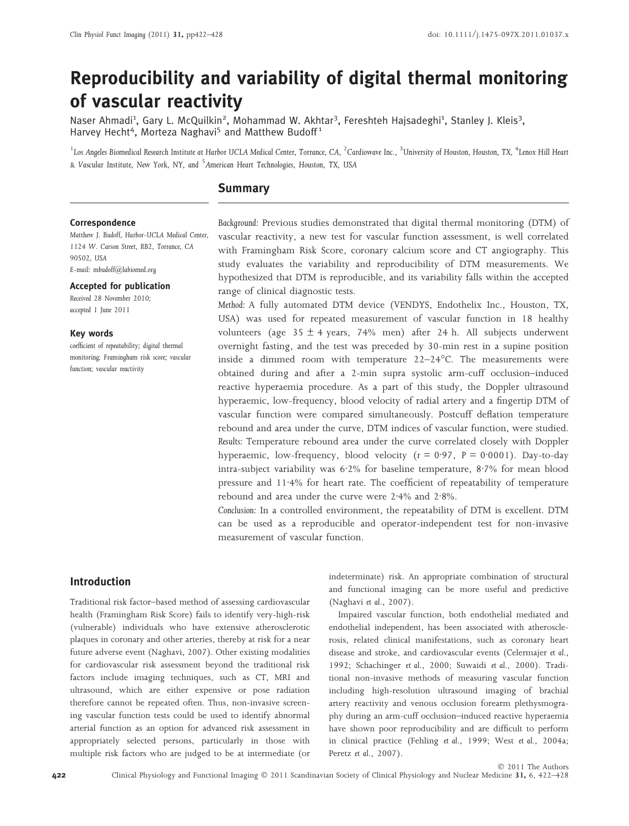# Reproducibility and variability of digital thermal monitoring of vascular reactivity

Naser Ahmadi<sup>1</sup>, Gary L. McQuilkin<sup>2</sup>, Mohammad W. Akhtar<sup>3</sup>, Fereshteh Hajsadeghi<sup>1</sup>, Stanley J. Kleis<sup>3</sup>, Harvey Hecht<sup>4</sup>, Morteza Naghavi<sup>5</sup> and Matthew Budoff<sup>1</sup>

 $^1$ Los Angeles Biomedical Research Institute at Harbor UCLA Medical Center, Torrance, CA,  $^2$ Cardiowave Inc.,  $^3$ University of Houston, Houston, TX,  $^4$ Lenox Hill Heart & Vascular Institute, New York, NY, and <sup>5</sup>American Heart Technologies, Houston, TX, USA

# **Summary**

#### Correspondence

Matthew J. Budoff, Harbor-UCLA Medical Center, 1124 W. Carson Street, RB2, Torrance, CA 90502, USA E-mail: mbudoff@labiomed.org

#### Accepted for publication

Received 28 November 2010; accepted 1 June 2011

## Key words

coefficient of repeatability; digital thermal monitoring; Framingham risk score; vascular function; vascular reactivity

Background: Previous studies demonstrated that digital thermal monitoring (DTM) of vascular reactivity, a new test for vascular function assessment, is well correlated with Framingham Risk Score, coronary calcium score and CT angiography. This study evaluates the variability and reproducibility of DTM measurements. We hypothesized that DTM is reproducible, and its variability falls within the accepted range of clinical diagnostic tests.

Method: A fully automated DTM device (VENDYS, Endothelix Inc., Houston, TX, USA) was used for repeated measurement of vascular function in 18 healthy volunteers (age  $35 \pm 4$  years,  $74\%$  men) after 24 h. All subjects underwent overnight fasting, and the test was preceded by 30-min rest in a supine position inside a dimmed room with temperature 22-24°C. The measurements were obtained during and after a 2-min supra systolic arm-cuff occlusion–induced reactive hyperaemia procedure. As a part of this study, the Doppler ultrasound hyperaemic, low-frequency, blood velocity of radial artery and a fingertip DTM of vascular function were compared simultaneously. Postcuff deflation temperature rebound and area under the curve, DTM indices of vascular function, were studied. Results: Temperature rebound area under the curve correlated closely with Doppler hyperaemic, low-frequency, blood velocity ( $r = 0.97$ ,  $P = 0.0001$ ). Day-to-day intra-subject variability was  $6.2\%$  for baseline temperature,  $8.7\%$  for mean blood pressure and  $11.4%$  for heart rate. The coefficient of repeatability of temperature rebound and area under the curve were  $2.4\%$  and  $2.8\%$ .

Conclusion: In a controlled environment, the repeatability of DTM is excellent. DTM can be used as a reproducible and operator-independent test for non-invasive measurement of vascular function.

## Introduction

Traditional risk factor–based method of assessing cardiovascular health (Framingham Risk Score) fails to identify very-high-risk (vulnerable) individuals who have extensive atherosclerotic plaques in coronary and other arteries, thereby at risk for a near future adverse event (Naghavi, 2007). Other existing modalities for cardiovascular risk assessment beyond the traditional risk factors include imaging techniques, such as CT, MRI and ultrasound, which are either expensive or pose radiation therefore cannot be repeated often. Thus, non-invasive screening vascular function tests could be used to identify abnormal arterial function as an option for advanced risk assessment in appropriately selected persons, particularly in those with multiple risk factors who are judged to be at intermediate (or

indeterminate) risk. An appropriate combination of structural and functional imaging can be more useful and predictive (Naghavi et al., 2007).

Impaired vascular function, both endothelial mediated and endothelial independent, has been associated with atherosclerosis, related clinical manifestations, such as coronary heart disease and stroke, and cardiovascular events (Celermajer et al., 1992; Schachinger et al., 2000; Suwaidi et al., 2000). Traditional non-invasive methods of measuring vascular function including high-resolution ultrasound imaging of brachial artery reactivity and venous occlusion forearm plethysmography during an arm-cuff occlusion–induced reactive hyperaemia have shown poor reproducibility and are difficult to perform in clinical practice (Fehling et al., 1999; West et al., 2004a; Peretz et al., 2007).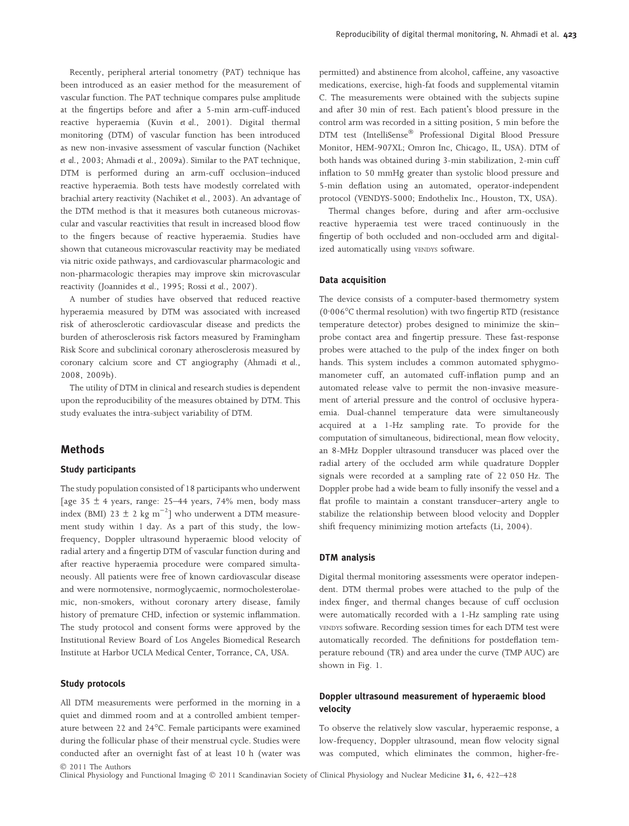Recently, peripheral arterial tonometry (PAT) technique has been introduced as an easier method for the measurement of vascular function. The PAT technique compares pulse amplitude at the fingertips before and after a 5-min arm-cuff-induced reactive hyperaemia (Kuvin et al., 2001). Digital thermal monitoring (DTM) of vascular function has been introduced as new non-invasive assessment of vascular function (Nachiket et al., 2003; Ahmadi et al., 2009a). Similar to the PAT technique, DTM is performed during an arm-cuff occlusion–induced reactive hyperaemia. Both tests have modestly correlated with brachial artery reactivity (Nachiket et al., 2003). An advantage of the DTM method is that it measures both cutaneous microvascular and vascular reactivities that result in increased blood flow to the fingers because of reactive hyperaemia. Studies have shown that cutaneous microvascular reactivity may be mediated via nitric oxide pathways, and cardiovascular pharmacologic and non-pharmacologic therapies may improve skin microvascular reactivity (Joannides et al., 1995; Rossi et al., 2007).

A number of studies have observed that reduced reactive hyperaemia measured by DTM was associated with increased risk of atherosclerotic cardiovascular disease and predicts the burden of atherosclerosis risk factors measured by Framingham Risk Score and subclinical coronary atherosclerosis measured by coronary calcium score and CT angiography (Ahmadi et al., 2008, 2009b).

The utility of DTM in clinical and research studies is dependent upon the reproducibility of the measures obtained by DTM. This study evaluates the intra-subject variability of DTM.

## **Methods**

#### Study participants

The study population consisted of 18 participants who underwent [age 35  $\pm$  4 years, range: 25–44 years, 74% men, body mass index (BMI) 23  $\pm$  2 kg m<sup>-2</sup>] who underwent a DTM measurement study within 1 day. As a part of this study, the lowfrequency, Doppler ultrasound hyperaemic blood velocity of radial artery and a fingertip DTM of vascular function during and after reactive hyperaemia procedure were compared simultaneously. All patients were free of known cardiovascular disease and were normotensive, normoglycaemic, normocholesterolaemic, non-smokers, without coronary artery disease, family history of premature CHD, infection or systemic inflammation. The study protocol and consent forms were approved by the Institutional Review Board of Los Angeles Biomedical Research Institute at Harbor UCLA Medical Center, Torrance, CA, USA.

## Study protocols

All DTM measurements were performed in the morning in a quiet and dimmed room and at a controlled ambient temperature between 22 and 24°C. Female participants were examined during the follicular phase of their menstrual cycle. Studies were conducted after an overnight fast of at least 10 h (water was permitted) and abstinence from alcohol, caffeine, any vasoactive medications, exercise, high-fat foods and supplemental vitamin C. The measurements were obtained with the subjects supine and after 30 min of rest. Each patient's blood pressure in the control arm was recorded in a sitting position, 5 min before the DTM test (IntelliSense<sup>®</sup> Professional Digital Blood Pressure Monitor, HEM-907XL; Omron Inc, Chicago, IL, USA). DTM of both hands was obtained during 3-min stabilization, 2-min cuff inflation to 50 mmHg greater than systolic blood pressure and 5-min deflation using an automated, operator-independent protocol (VENDYS-5000; Endothelix Inc., Houston, TX, USA).

Thermal changes before, during and after arm-occlusive reactive hyperaemia test were traced continuously in the fingertip of both occluded and non-occluded arm and digitalized automatically using VENDYS software.

## Data acquisition

The device consists of a computer-based thermometry system (0.006°C thermal resolution) with two fingertip RTD (resistance temperature detector) probes designed to minimize the skin– probe contact area and fingertip pressure. These fast-response probes were attached to the pulp of the index finger on both hands. This system includes a common automated sphygmomanometer cuff, an automated cuff-inflation pump and an automated release valve to permit the non-invasive measurement of arterial pressure and the control of occlusive hyperaemia. Dual-channel temperature data were simultaneously acquired at a 1-Hz sampling rate. To provide for the computation of simultaneous, bidirectional, mean flow velocity, an 8-MHz Doppler ultrasound transducer was placed over the radial artery of the occluded arm while quadrature Doppler signals were recorded at a sampling rate of 22 050 Hz. The Doppler probe had a wide beam to fully insonify the vessel and a flat profile to maintain a constant transducer–artery angle to stabilize the relationship between blood velocity and Doppler shift frequency minimizing motion artefacts (Li, 2004).

#### DTM analysis

Digital thermal monitoring assessments were operator independent. DTM thermal probes were attached to the pulp of the index finger, and thermal changes because of cuff occlusion were automatically recorded with a 1-Hz sampling rate using VENDYS software. Recording session times for each DTM test were automatically recorded. The definitions for postdeflation temperature rebound (TR) and area under the curve (TMP AUC) are shown in Fig. 1.

## Doppler ultrasound measurement of hyperaemic blood velocity

To observe the relatively slow vascular, hyperaemic response, a low-frequency, Doppler ultrasound, mean flow velocity signal was computed, which eliminates the common, higher-fre-

 2011 The Authors Clinical Physiology and Functional Imaging © 2011 Scandinavian Society of Clinical Physiology and Nuclear Medicine 31, 6, 422-428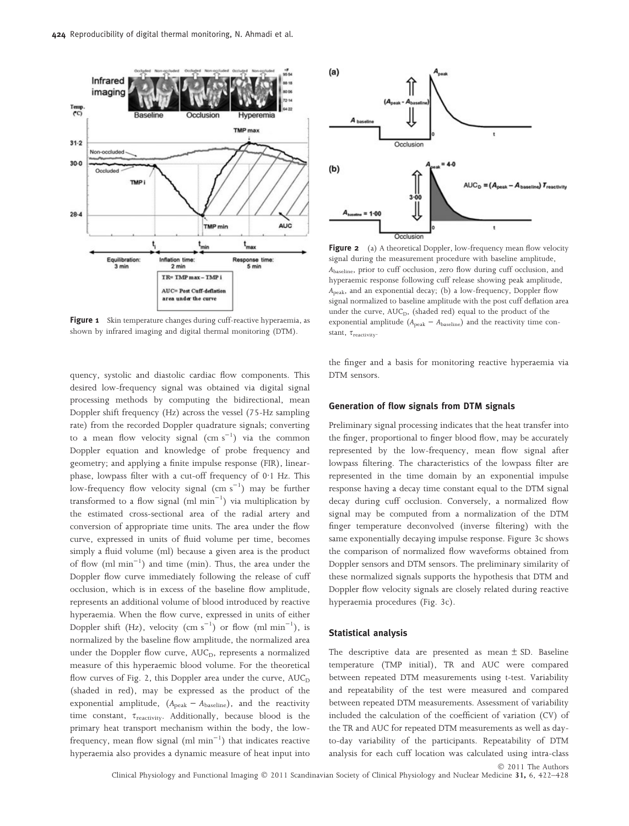

Figure 1 Skin temperature changes during cuff-reactive hyperaemia, as shown by infrared imaging and digital thermal monitoring (DTM).

quency, systolic and diastolic cardiac flow components. This desired low-frequency signal was obtained via digital signal processing methods by computing the bidirectional, mean Doppler shift frequency (Hz) across the vessel (75-Hz sampling rate) from the recorded Doppler quadrature signals; converting to a mean flow velocity signal  $\rm (cm\;s^{-1})$  via the common Doppler equation and knowledge of probe frequency and geometry; and applying a finite impulse response (FIR), linearphase, lowpass filter with a cut-off frequency of  $0.1$  Hz. This low-frequency flow velocity signal  $\rm (cm~s^{-1})$  may be further transformed to a flow signal  ${\rm (ml\ min}^{-1})$  via multiplication by the estimated cross-sectional area of the radial artery and conversion of appropriate time units. The area under the flow curve, expressed in units of fluid volume per time, becomes simply a fluid volume (ml) because a given area is the product of flow  $(ml min<sup>-1</sup>)$  and time  $(min)$ . Thus, the area under the Doppler flow curve immediately following the release of cuff occlusion, which is in excess of the baseline flow amplitude, represents an additional volume of blood introduced by reactive hyperaemia. When the flow curve, expressed in units of either Doppler shift (Hz), velocity  $(\text{cm s}^{-1})$  or flow  $(\text{ml min}^{-1})$ , is normalized by the baseline flow amplitude, the normalized area under the Doppler flow curve,  $AUC_D$ , represents a normalized measure of this hyperaemic blood volume. For the theoretical flow curves of Fig. 2, this Doppler area under the curve,  $AUC_D$ (shaded in red), may be expressed as the product of the exponential amplitude,  $(A_{\text{peak}} - A_{\text{baseline}})$ , and the reactivity time constant,  $\tau_{\text{reactivity}}$ . Additionally, because blood is the primary heat transport mechanism within the body, the lowfrequency, mean flow signal  $\text{(ml min}^{-1}\text{)}$  that indicates reactive hyperaemia also provides a dynamic measure of heat input into



Figure 2 (a) A theoretical Doppler, low-frequency mean flow velocity signal during the measurement procedure with baseline amplitude, Abaseline, prior to cuff occlusion, zero flow during cuff occlusion, and hyperaemic response following cuff release showing peak amplitude, Apeak, and an exponential decay; (b) a low-frequency, Doppler flow signal normalized to baseline amplitude with the post cuff deflation area under the curve, AUC<sub>D</sub>, (shaded red) equal to the product of the exponential amplitude  $(A_{\text{peak}} - A_{\text{baseline}})$  and the reactivity time constant,  $\tau_{\text{reactivity}}$ .

the finger and a basis for monitoring reactive hyperaemia via DTM sensors.

#### Generation of flow signals from DTM signals

Preliminary signal processing indicates that the heat transfer into the finger, proportional to finger blood flow, may be accurately represented by the low-frequency, mean flow signal after lowpass filtering. The characteristics of the lowpass filter are represented in the time domain by an exponential impulse response having a decay time constant equal to the DTM signal decay during cuff occlusion. Conversely, a normalized flow signal may be computed from a normalization of the DTM finger temperature deconvolved (inverse filtering) with the same exponentially decaying impulse response. Figure 3c shows the comparison of normalized flow waveforms obtained from Doppler sensors and DTM sensors. The preliminary similarity of these normalized signals supports the hypothesis that DTM and Doppler flow velocity signals are closely related during reactive hyperaemia procedures (Fig. 3c).

#### Statistical analysis

The descriptive data are presented as mean  $\pm$  SD. Baseline temperature (TMP initial), TR and AUC were compared between repeated DTM measurements using t-test. Variability and repeatability of the test were measured and compared between repeated DTM measurements. Assessment of variability included the calculation of the coefficient of variation (CV) of the TR and AUC for repeated DTM measurements as well as dayto-day variability of the participants. Repeatability of DTM analysis for each cuff location was calculated using intra-class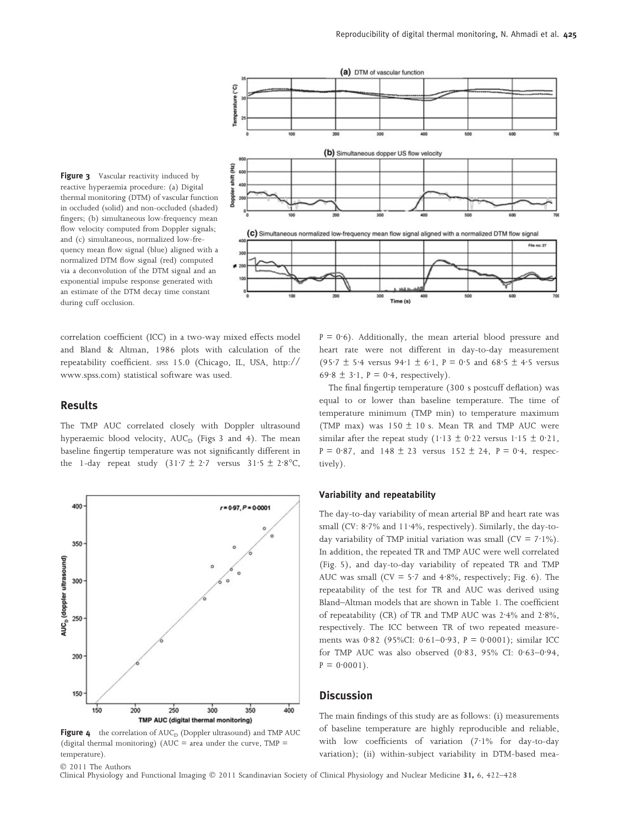



(a) DTM of vascular function

correlation coefficient (ICC) in a two-way mixed effects model and Bland & Altman, 1986 plots with calculation of the repeatability coefficient. SPSS 15.0 (Chicago, IL, USA, http:// www.spss.com) statistical software was used.

၉

## Results

The TMP AUC correlated closely with Doppler ultrasound hyperaemic blood velocity, AUC<sub>D</sub> (Figs 3 and 4). The mean baseline fingertip temperature was not significantly different in the 1-day repeat study  $(31.7 \pm 2.7 \text{ versus } 31.5 \pm 2.8\text{°C},$ 



Figure  $4$  the correlation of  $AUC_D$  (Doppler ultrasound) and TMP  $AUC$ (digital thermal monitoring) (AUC = area under the curve,  $TMP$  = temperature).

 $P = 0.6$ ). Additionally, the mean arterial blood pressure and heart rate were not different in day-to-day measurement (95.7 ± 5.4 versus 94.1 ± 6.1, P = 0.5 and 68.5 ± 4.5 versus 69.8  $\pm$  3.1, P = 0.4, respectively).

The final fingertip temperature (300 s postcuff deflation) was equal to or lower than baseline temperature. The time of temperature minimum (TMP min) to temperature maximum (TMP max) was  $150 \pm 10$  s. Mean TR and TMP AUC were similar after the repeat study (1·13  $\pm$  0·22 versus 1·15  $\pm$  0·21,  $P = 0.87$ , and  $148 \pm 23$  versus  $152 \pm 24$ ,  $P = 0.4$ , respectively).

#### Variability and repeatability

The day-to-day variability of mean arterial BP and heart rate was small (CV:  $8.7\%$  and  $11.4\%$ , respectively). Similarly, the day-today variability of TMP initial variation was small ( $CV = 7.1\%$ ). In addition, the repeated TR and TMP AUC were well correlated (Fig. 5), and day-to-day variability of repeated TR and TMP AUC was small (CV =  $5.7$  and  $4.8\%$ , respectively; Fig. 6). The repeatability of the test for TR and AUC was derived using Bland–Altman models that are shown in Table 1. The coefficient of repeatability (CR) of TR and TMP AUC was 2.4% and 2.8%, respectively. The ICC between TR of two repeated measurements was 0.82 (95%CI: 0.61-0.93, P = 0.0001); similar ICC for TMP AUC was also observed  $(0.83, 95\%$  CI:  $0.63-0.94$ ,  $P = 0.0001$ .

## **Discussion**

The main findings of this study are as follows: (i) measurements of baseline temperature are highly reproducible and reliable, with low coefficients of variation  $(7.1\%$  for day-to-day variation); (ii) within-subject variability in DTM-based mea-

 2011 The Authors Clinical Physiology and Functional Imaging © 2011 Scandinavian Society of Clinical Physiology and Nuclear Medicine 31, 6, 422-428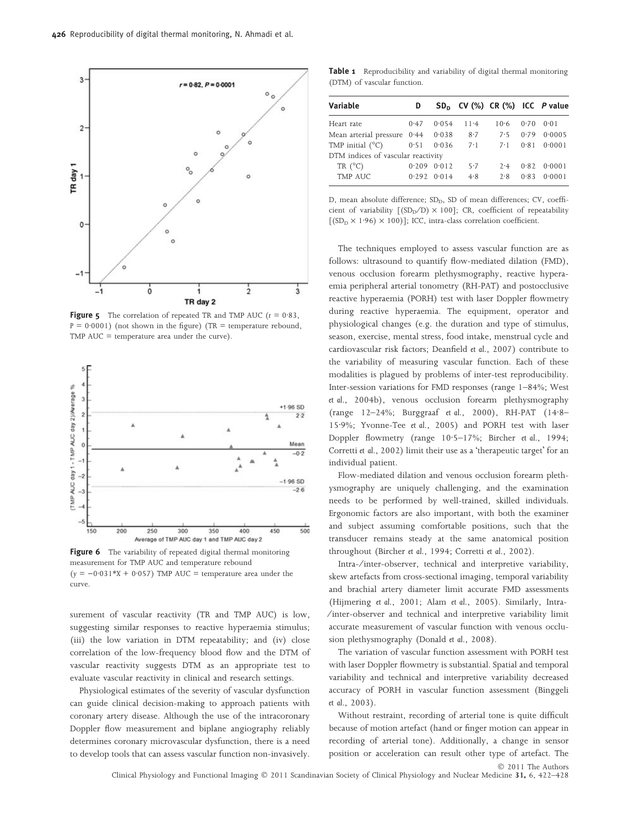

**Figure 5** The correlation of repeated TR and TMP AUC  $(r = 0.83,$  $P = 0.0001$ ) (not shown in the figure) (TR = temperature rebound, TMP AUC = temperature area under the curve).



Figure 6 The variability of repeated digital thermal monitoring measurement for TMP AUC and temperature rebound  $(y = -0.031*X + 0.057)$  TMP AUC = temperature area under the curve.

surement of vascular reactivity (TR and TMP AUC) is low, suggesting similar responses to reactive hyperaemia stimulus; (iii) the low variation in DTM repeatability; and (iv) close correlation of the low-frequency blood flow and the DTM of vascular reactivity suggests DTM as an appropriate test to evaluate vascular reactivity in clinical and research settings.

Physiological estimates of the severity of vascular dysfunction can guide clinical decision-making to approach patients with coronary artery disease. Although the use of the intracoronary Doppler flow measurement and biplane angiography reliably determines coronary microvascular dysfunction, there is a need to develop tools that can assess vascular function non-invasively.

Table 1 Reproducibility and variability of digital thermal monitoring (DTM) of vascular function.

| Variable                           | D     |                 |          | $SDD$ CV (%) CR (%) ICC P value |      |        |
|------------------------------------|-------|-----------------|----------|---------------------------------|------|--------|
| Heart rate                         | 0.47  | 0.054           | $11 - 4$ | 10.6                            | 0.70 | 0.01   |
| Mean arterial pressure 0.44        |       | 0.038           | 8.7      | 7.5                             | 0.79 | 0.0005 |
| TMP initial $(^{\circ}C)$          | 0.51  | 0.036           | 7.1      | $7 \cdot 1$                     | 0.81 | 0.0001 |
| DTM indices of vascular reactivity |       |                 |          |                                 |      |        |
| TR $(^{\circ}C)$                   | 0.209 | 0.012           | 5.7      | 2.4                             | 0.82 | 0.0001 |
| TMP AUC                            |       | $0.292$ $0.014$ | 4.8      | 2.8                             | 0.83 | 0.0001 |

D, mean absolute difference; SD<sub>D</sub>, SD of mean differences; CV, coefficient of variability  $[(SD_D/D) \times 100]$ ; CR, coefficient of repeatability  $[(SD<sub>D</sub> × 1.96) × 100)]$ ; ICC, intra-class correlation coefficient.

The techniques employed to assess vascular function are as follows: ultrasound to quantify flow-mediated dilation (FMD), venous occlusion forearm plethysmography, reactive hyperaemia peripheral arterial tonometry (RH-PAT) and postocclusive reactive hyperaemia (PORH) test with laser Doppler flowmetry during reactive hyperaemia. The equipment, operator and physiological changes (e.g. the duration and type of stimulus, season, exercise, mental stress, food intake, menstrual cycle and cardiovascular risk factors; Deanfield et al., 2007) contribute to the variability of measuring vascular function. Each of these modalities is plagued by problems of inter-test reproducibility. Inter-session variations for FMD responses (range 1–84%; West et al., 2004b), venous occlusion forearm plethysmography (range 12-24%; Burggraaf et al., 2000), RH-PAT (14.8-15.9%; Yvonne-Tee et al., 2005) and PORH test with laser Doppler flowmetry (range 10.5–17%; Bircher et al., 1994; Corretti et al., 2002) limit their use as a 'therapeutic target' for an individual patient.

Flow-mediated dilation and venous occlusion forearm plethysmography are uniquely challenging, and the examination needs to be performed by well-trained, skilled individuals. Ergonomic factors are also important, with both the examiner and subject assuming comfortable positions, such that the transducer remains steady at the same anatomical position throughout (Bircher et al., 1994; Corretti et al., 2002).

Intra-⁄ inter-observer, technical and interpretive variability, skew artefacts from cross-sectional imaging, temporal variability and brachial artery diameter limit accurate FMD assessments (Hijmering et al., 2001; Alam et al., 2005). Similarly, Intra- ⁄ inter-observer and technical and interpretive variability limit accurate measurement of vascular function with venous occlusion plethysmography (Donald et al., 2008).

The variation of vascular function assessment with PORH test with laser Doppler flowmetry is substantial. Spatial and temporal variability and technical and interpretive variability decreased accuracy of PORH in vascular function assessment (Binggeli et al., 2003).

Without restraint, recording of arterial tone is quite difficult because of motion artefact (hand or finger motion can appear in recording of arterial tone). Additionally, a change in sensor position or acceleration can result other type of artefact. The 2011 The Authors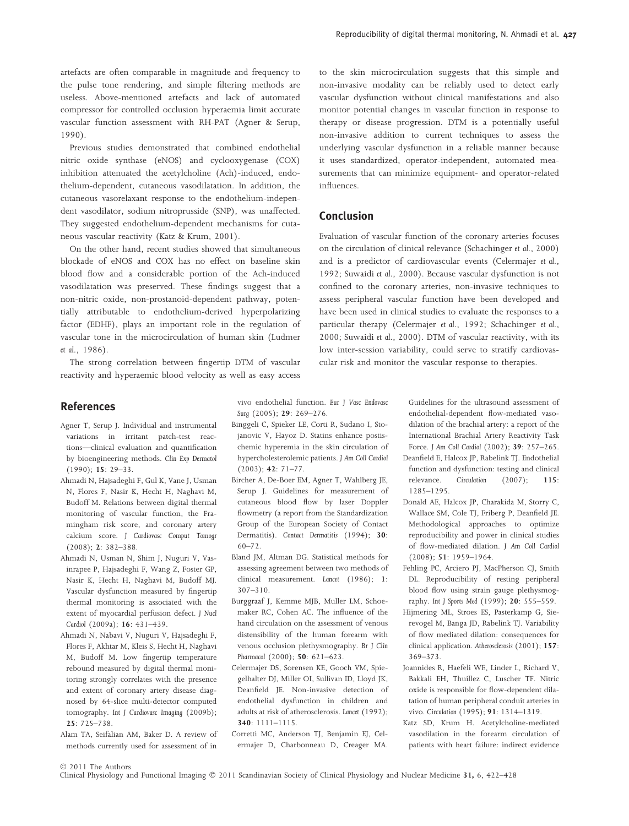artefacts are often comparable in magnitude and frequency to the pulse tone rendering, and simple filtering methods are useless. Above-mentioned artefacts and lack of automated compressor for controlled occlusion hyperaemia limit accurate vascular function assessment with RH-PAT (Agner & Serup, 1990).

Previous studies demonstrated that combined endothelial nitric oxide synthase (eNOS) and cyclooxygenase (COX) inhibition attenuated the acetylcholine (Ach)-induced, endothelium-dependent, cutaneous vasodilatation. In addition, the cutaneous vasorelaxant response to the endothelium-independent vasodilator, sodium nitroprusside (SNP), was unaffected. They suggested endothelium-dependent mechanisms for cutaneous vascular reactivity (Katz & Krum, 2001).

On the other hand, recent studies showed that simultaneous blockade of eNOS and COX has no effect on baseline skin blood flow and a considerable portion of the Ach-induced vasodilatation was preserved. These findings suggest that a non-nitric oxide, non-prostanoid-dependent pathway, potentially attributable to endothelium-derived hyperpolarizing factor (EDHF), plays an important role in the regulation of vascular tone in the microcirculation of human skin (Ludmer et al., 1986).

The strong correlation between fingertip DTM of vascular reactivity and hyperaemic blood velocity as well as easy access

**References** 

- Agner T, Serup J. Individual and instrumental variations in irritant patch-test reactions—clinical evaluation and quantification by bioengineering methods. Clin Exp Dermatol (1990); 15: 29–33.
- Ahmadi N, Hajsadeghi F, Gul K, Vane J, Usman N, Flores F, Nasir K, Hecht H, Naghavi M, Budoff M. Relations between digital thermal monitoring of vascular function, the Framingham risk score, and coronary artery calcium score. J Cardiovasc Comput Tomogr (2008); 2: 382–388.
- Ahmadi N, Usman N, Shim J, Nuguri V, Vasinrapee P, Hajsadeghi F, Wang Z, Foster GP, Nasir K, Hecht H, Naghavi M, Budoff MJ. Vascular dysfunction measured by fingertip thermal monitoring is associated with the extent of myocardial perfusion defect. J Nucl Cardiol (2009a); 16: 431–439.
- Ahmadi N, Nabavi V, Nuguri V, Hajsadeghi F, Flores F, Akhtar M, Kleis S, Hecht H, Naghavi M, Budoff M. Low fingertip temperature rebound measured by digital thermal monitoring strongly correlates with the presence and extent of coronary artery disease diagnosed by 64-slice multi-detector computed tomography. Int J Cardiovasc Imaging (2009b); 25: 725–738.
- Alam TA, Seifalian AM, Baker D. A review of methods currently used for assessment of in

vivo endothelial function. Eur J Vasc Endovasc Surg (2005); 29: 269-276.

- Binggeli C, Spieker LE, Corti R, Sudano I, Stojanovic V, Hayoz D. Statins enhance postischemic hyperemia in the skin circulation of hypercholesterolemic patients. J Am Coll Cardiol (2003); 42: 71–77.
- Bircher A, De-Boer EM, Agner T, Wahlberg JE, Serup J. Guidelines for measurement of cutaneous blood flow by laser Doppler flowmetry (a report from the Standardization Group of the European Society of Contact Dermatitis). Contact Dermatitis (1994); 30:  $60 - 72$ .
- Bland JM, Altman DG. Statistical methods for assessing agreement between two methods of clinical measurement. Lancet (1986); 1: 307–310.
- Burggraaf J, Kemme MJB, Muller LM, Schoemaker RC, Cohen AC. The influence of the hand circulation on the assessment of venous distensibility of the human forearm with venous occlusion plethysmography. Br J Clin Pharmacol (2000); 50: 621–623.
- Celermajer DS, Sorensen KE, Gooch VM, Spiegelhalter DJ, Miller OI, Sullivan ID, Lloyd JK, Deanfield JE. Non-invasive detection of endothelial dysfunction in children and adults at risk of atherosclerosis. Lancet (1992); 340: 1111–1115.
- Corretti MC, Anderson TJ, Benjamin EJ, Celermajer D, Charbonneau D, Creager MA.

to the skin microcirculation suggests that this simple and non-invasive modality can be reliably used to detect early vascular dysfunction without clinical manifestations and also monitor potential changes in vascular function in response to therapy or disease progression. DTM is a potentially useful non-invasive addition to current techniques to assess the underlying vascular dysfunction in a reliable manner because it uses standardized, operator-independent, automated measurements that can minimize equipment- and operator-related influences.

# Conclusion

Evaluation of vascular function of the coronary arteries focuses on the circulation of clinical relevance (Schachinger et al., 2000) and is a predictor of cardiovascular events (Celermajer et al., 1992; Suwaidi et al., 2000). Because vascular dysfunction is not confined to the coronary arteries, non-invasive techniques to assess peripheral vascular function have been developed and have been used in clinical studies to evaluate the responses to a particular therapy (Celermajer et al., 1992; Schachinger et al., 2000; Suwaidi et al., 2000). DTM of vascular reactivity, with its low inter-session variability, could serve to stratify cardiovascular risk and monitor the vascular response to therapies.

> Guidelines for the ultrasound assessment of endothelial-dependent flow-mediated vasodilation of the brachial artery: a report of the International Brachial Artery Reactivity Task Force. J Am Coll Cardiol (2002); 39: 257–265.

- Deanfield E, Halcox JP, Rabelink TJ. Endothelial function and dysfunction: testing and clinical relevance. Circulation (2007); 115: 1285–1295.
- Donald AE, Halcox JP, Charakida M, Storry C, Wallace SM, Cole TJ, Friberg P, Deanfield JE. Methodological approaches to optimize reproducibility and power in clinical studies of flow-mediated dilation. J Am Coll Cardiol (2008); 51: 1959–1964.
- Fehling PC, Arciero PJ, MacPherson CJ, Smith DL. Reproducibility of resting peripheral blood flow using strain gauge plethysmography. Int J Sports Med (1999); 20: 555–559.
- Hijmering ML, Stroes ES, Pasterkamp G, Sierevogel M, Banga JD, Rabelink TJ. Variability of flow mediated dilation: consequences for clinical application. Atherosclerosis (2001); 157: 369–373.
- Joannides R, Haefeli WE, Linder L, Richard V, Bakkali EH, Thuillez C, Luscher TF. Nitric oxide is responsible for flow-dependent dilatation of human peripheral conduit arteries in vivo. Circulation (1995); 91: 1314–1319.
- Katz SD, Krum H. Acetylcholine-mediated vasodilation in the forearm circulation of patients with heart failure: indirect evidence